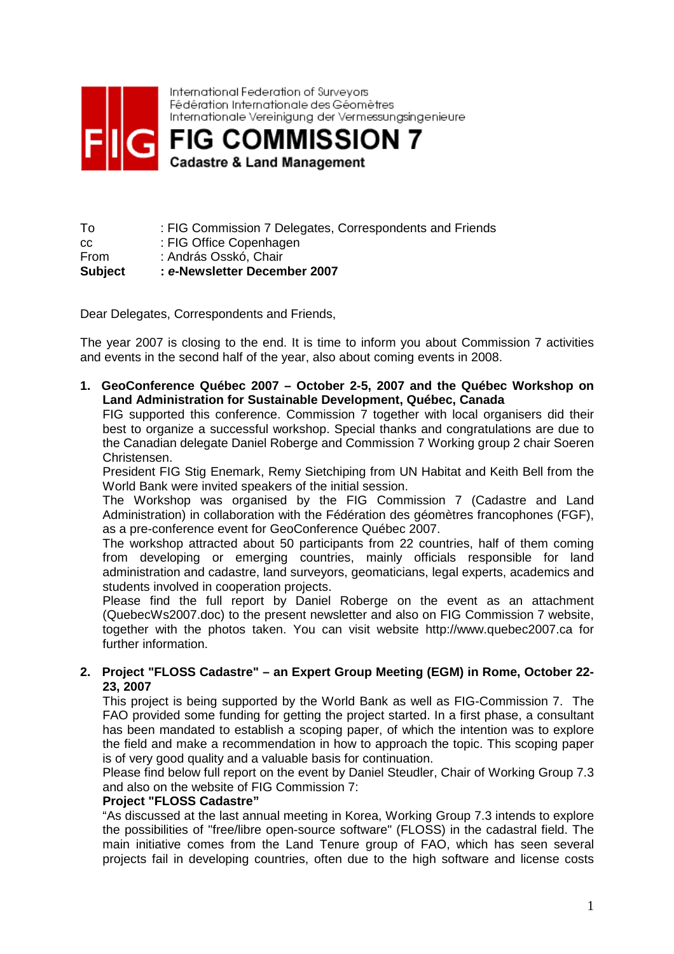

International Federation of Surveyors Fédération Internationale des Géomètres Internationale Vereinigung der Vermessungsingenieure

**FIG COMMISSION 7 Cadastre & Land Management** 

To : FIG Commission 7 Delegates, Correspondents and Friends cc : FIG Office Copenhagen From : András Osskó, Chair **Subject : e-Newsletter December 2007** 

Dear Delegates, Correspondents and Friends,

The year 2007 is closing to the end. It is time to inform you about Commission 7 activities and events in the second half of the year, also about coming events in 2008.

**1. GeoConference Québec 2007 – October 2-5, 2007 and the Québec Workshop on Land Administration for Sustainable Development, Québec, Canada** 

FIG supported this conference. Commission 7 together with local organisers did their best to organize a successful workshop. Special thanks and congratulations are due to the Canadian delegate Daniel Roberge and Commission 7 Working group 2 chair Soeren Christensen.

President FIG Stig Enemark, Remy Sietchiping from UN Habitat and Keith Bell from the World Bank were invited speakers of the initial session.

The Workshop was organised by the FIG Commission 7 (Cadastre and Land Administration) in collaboration with the Fédération des géomètres francophones (FGF), as a pre-conference event for GeoConference Québec 2007.

The workshop attracted about 50 participants from 22 countries, half of them coming from developing or emerging countries, mainly officials responsible for land administration and cadastre, land surveyors, geomaticians, legal experts, academics and students involved in cooperation projects.

Please find the full report by Daniel Roberge on the event as an attachment (QuebecWs2007.doc) to the present newsletter and also on FIG Commission 7 website, together with the photos taken. You can visit website http://www.quebec2007.ca for further information.

## **2. Project "FLOSS Cadastre" – an Expert Group Meeting (EGM) in Rome, October 22- 23, 2007**

This project is being supported by the World Bank as well as FIG-Commission 7. The FAO provided some funding for getting the project started. In a first phase, a consultant has been mandated to establish a scoping paper, of which the intention was to explore the field and make a recommendation in how to approach the topic. This scoping paper is of very good quality and a valuable basis for continuation.

Please find below full report on the event by Daniel Steudler, Chair of Working Group 7.3 and also on the website of FIG Commission 7:

## **Project "FLOSS Cadastre"**

"As discussed at the last annual meeting in Korea, Working Group 7.3 intends to explore the possibilities of "free/libre open-source software" (FLOSS) in the cadastral field. The main initiative comes from the Land Tenure group of FAO, which has seen several projects fail in developing countries, often due to the high software and license costs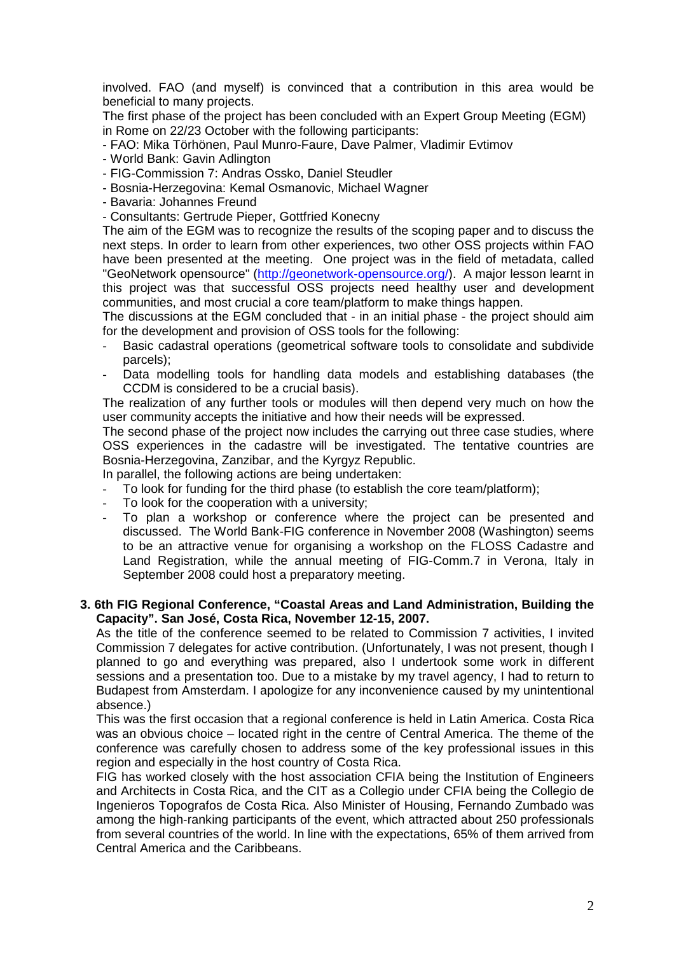involved. FAO (and myself) is convinced that a contribution in this area would be beneficial to many projects.

The first phase of the project has been concluded with an Expert Group Meeting (EGM) in Rome on 22/23 October with the following participants:

- FAO: Mika Törhönen, Paul Munro-Faure, Dave Palmer, Vladimir Evtimov
- World Bank: Gavin Adlington
- FIG-Commission 7: Andras Ossko, Daniel Steudler
- Bosnia-Herzegovina: Kemal Osmanovic, Michael Wagner
- Bavaria: Johannes Freund
- Consultants: Gertrude Pieper, Gottfried Konecny

The aim of the EGM was to recognize the results of the scoping paper and to discuss the next steps. In order to learn from other experiences, two other OSS projects within FAO have been presented at the meeting. One project was in the field of metadata, called "GeoNetwork opensource" (http://geonetwork-opensource.org/). A major lesson learnt in this project was that successful OSS projects need healthy user and development communities, and most crucial a core team/platform to make things happen.

The discussions at the EGM concluded that - in an initial phase - the project should aim for the development and provision of OSS tools for the following:

- Basic cadastral operations (geometrical software tools to consolidate and subdivide parcels);
- Data modelling tools for handling data models and establishing databases (the CCDM is considered to be a crucial basis).

The realization of any further tools or modules will then depend very much on how the user community accepts the initiative and how their needs will be expressed.

The second phase of the project now includes the carrying out three case studies, where OSS experiences in the cadastre will be investigated. The tentative countries are Bosnia-Herzegovina, Zanzibar, and the Kyrgyz Republic.

- In parallel, the following actions are being undertaken:
- To look for funding for the third phase (to establish the core team/platform);
- To look for the cooperation with a university:
- To plan a workshop or conference where the project can be presented and discussed. The World Bank-FIG conference in November 2008 (Washington) seems to be an attractive venue for organising a workshop on the FLOSS Cadastre and Land Registration, while the annual meeting of FIG-Comm.7 in Verona, Italy in September 2008 could host a preparatory meeting.

#### **3. 6th FIG Regional Conference, "Coastal Areas and Land Administration, Building the Capacity". San José, Costa Rica, November 12-15, 2007.**

As the title of the conference seemed to be related to Commission 7 activities, I invited Commission 7 delegates for active contribution. (Unfortunately, I was not present, though I planned to go and everything was prepared, also I undertook some work in different sessions and a presentation too. Due to a mistake by my travel agency, I had to return to Budapest from Amsterdam. I apologize for any inconvenience caused by my unintentional absence.)

This was the first occasion that a regional conference is held in Latin America. Costa Rica was an obvious choice – located right in the centre of Central America. The theme of the conference was carefully chosen to address some of the key professional issues in this region and especially in the host country of Costa Rica.

FIG has worked closely with the host association CFIA being the Institution of Engineers and Architects in Costa Rica, and the CIT as a Collegio under CFIA being the Collegio de Ingenieros Topografos de Costa Rica. Also Minister of Housing, Fernando Zumbado was among the high-ranking participants of the event, which attracted about 250 professionals from several countries of the world. In line with the expectations, 65% of them arrived from Central America and the Caribbeans.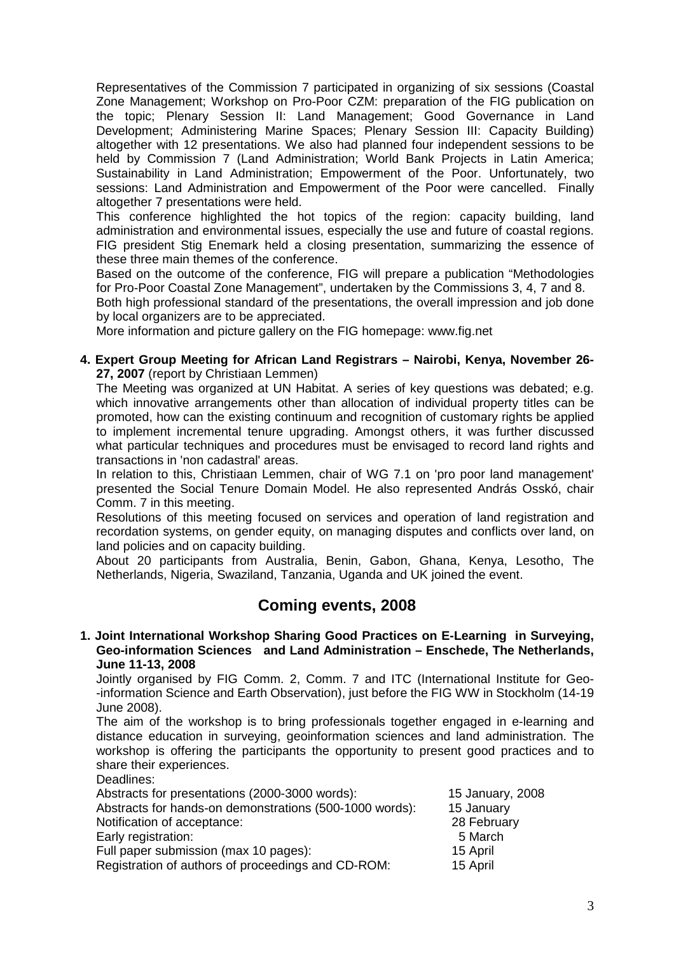Representatives of the Commission 7 participated in organizing of six sessions (Coastal Zone Management; Workshop on Pro-Poor CZM: preparation of the FIG publication on the topic; Plenary Session II: Land Management; Good Governance in Land Development; Administering Marine Spaces; Plenary Session III: Capacity Building) altogether with 12 presentations. We also had planned four independent sessions to be held by Commission 7 (Land Administration; World Bank Projects in Latin America; Sustainability in Land Administration; Empowerment of the Poor. Unfortunately, two sessions: Land Administration and Empowerment of the Poor were cancelled. Finally altogether 7 presentations were held.

This conference highlighted the hot topics of the region: capacity building, land administration and environmental issues, especially the use and future of coastal regions. FIG president Stig Enemark held a closing presentation, summarizing the essence of these three main themes of the conference.

Based on the outcome of the conference, FIG will prepare a publication "Methodologies for Pro-Poor Coastal Zone Management", undertaken by the Commissions 3, 4, 7 and 8.

Both high professional standard of the presentations, the overall impression and job done by local organizers are to be appreciated.

More information and picture gallery on the FIG homepage: www.fig.net

**4. Expert Group Meeting for African Land Registrars – Nairobi, Kenya, November 26- 27, 2007** (report by Christiaan Lemmen)

The Meeting was organized at UN Habitat. A series of key questions was debated; e.g. which innovative arrangements other than allocation of individual property titles can be promoted, how can the existing continuum and recognition of customary rights be applied to implement incremental tenure upgrading. Amongst others, it was further discussed what particular techniques and procedures must be envisaged to record land rights and transactions in 'non cadastral' areas.

In relation to this, Christiaan Lemmen, chair of WG 7.1 on 'pro poor land management' presented the Social Tenure Domain Model. He also represented András Osskó, chair Comm. 7 in this meeting.

Resolutions of this meeting focused on services and operation of land registration and recordation systems, on gender equity, on managing disputes and conflicts over land, on land policies and on capacity building.

About 20 participants from Australia, Benin, Gabon, Ghana, Kenya, Lesotho, The Netherlands, Nigeria, Swaziland, Tanzania, Uganda and UK joined the event.

# **Coming events, 2008**

#### **1. Joint International Workshop Sharing Good Practices on E-Learning in Surveying, Geo-information Sciences and Land Administration – Enschede, The Netherlands, June 11-13, 2008**

Jointly organised by FIG Comm. 2, Comm. 7 and ITC (International Institute for Geo- -information Science and Earth Observation), just before the FIG WW in Stockholm (14-19 June 2008).

The aim of the workshop is to bring professionals together engaged in e-learning and distance education in surveying, geoinformation sciences and land administration. The workshop is offering the participants the opportunity to present good practices and to share their experiences.

Deadlines:

Abstracts for presentations (2000-3000 words): 15 January, 2008

| Abstracts for hands-on demonstrations (500-1000 words): | 15 January  |
|---------------------------------------------------------|-------------|
| Notification of acceptance:                             | 28 February |
| Early registration:                                     | 5 March     |
| Full paper submission (max 10 pages):                   | 15 April    |
| Registration of authors of proceedings and CD-ROM:      | 15 April    |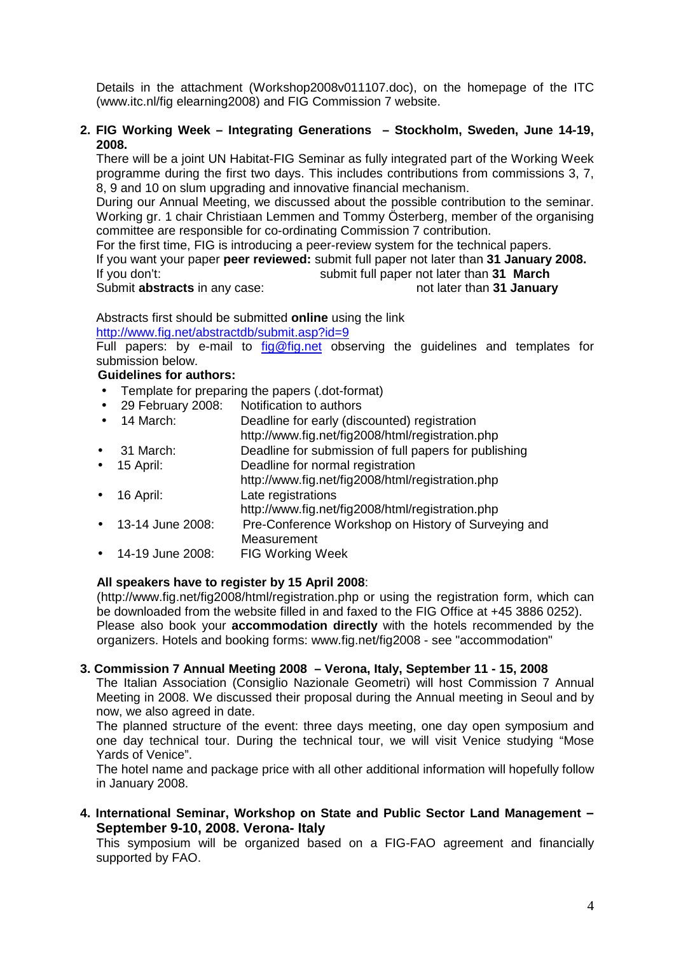Details in the attachment (Workshop2008v011107.doc), on the homepage of the ITC (www.itc.nl/fig elearning2008) and FIG Commission 7 website.

#### **2. FIG Working Week – Integrating Generations – Stockholm, Sweden, June 14-19, 2008.**

There will be a joint UN Habitat-FIG Seminar as fully integrated part of the Working Week programme during the first two days. This includes contributions from commissions 3, 7, 8, 9 and 10 on slum upgrading and innovative financial mechanism.

During our Annual Meeting, we discussed about the possible contribution to the seminar. Working gr. 1 chair Christiaan Lemmen and Tommy Österberg, member of the organising committee are responsible for co-ordinating Commission 7 contribution.

For the first time, FIG is introducing a peer-review system for the technical papers. If you want your paper **peer reviewed:** submit full paper not later than **31 January 2008.**  If you don't: submit full paper not later than **31 March**  Submit **abstracts** in any case: not later than **31 January not later** than **31 January** 

Abstracts first should be submitted **online** using the link http://www.fig.net/abstractdb/submit.asp?id=9

Full papers: by e-mail to  $fig@fig.net$  observing the quidelines and templates for submission below.

# **Guidelines for authors:**

- Template for preparing the papers (.dot-format)
- 29 February 2008: Notification to authors
- 14 March: Deadline for early (discounted) registration http://www.fig.net/fig2008/html/registration.php • 31 March: Deadline for submission of full papers for publishing
- 15 April: Deadline for normal registration http://www.fig.net/fig2008/html/registration.php
- 16 April: Late registrations
	- http://www.fig.net/fig2008/html/registration.php
- 13-14 June 2008: Pre-Conference Workshop on History of Surveying and **Measurement**
- 14-19 June 2008: FIG Working Week

# **All speakers have to register by 15 April 2008**:

(http://www.fig.net/fig2008/html/registration.php or using the registration form, which can be downloaded from the website filled in and faxed to the FIG Office at +45 3886 0252). Please also book your **accommodation directly** with the hotels recommended by the organizers. Hotels and booking forms: www.fig.net/fig2008 - see "accommodation"

# **3. Commission 7 Annual Meeting 2008 – Verona, Italy, September 11 - 15, 2008**

The Italian Association (Consiglio Nazionale Geometri) will host Commission 7 Annual Meeting in 2008. We discussed their proposal during the Annual meeting in Seoul and by now, we also agreed in date.

The planned structure of the event: three days meeting, one day open symposium and one day technical tour. During the technical tour, we will visit Venice studying "Mose Yards of Venice".

The hotel name and package price with all other additional information will hopefully follow in January 2008.

# **4. International Seminar, Workshop on State and Public Sector Land Management – September 9-10, 2008. Verona- Italy**

This symposium will be organized based on a FIG-FAO agreement and financially supported by FAO.